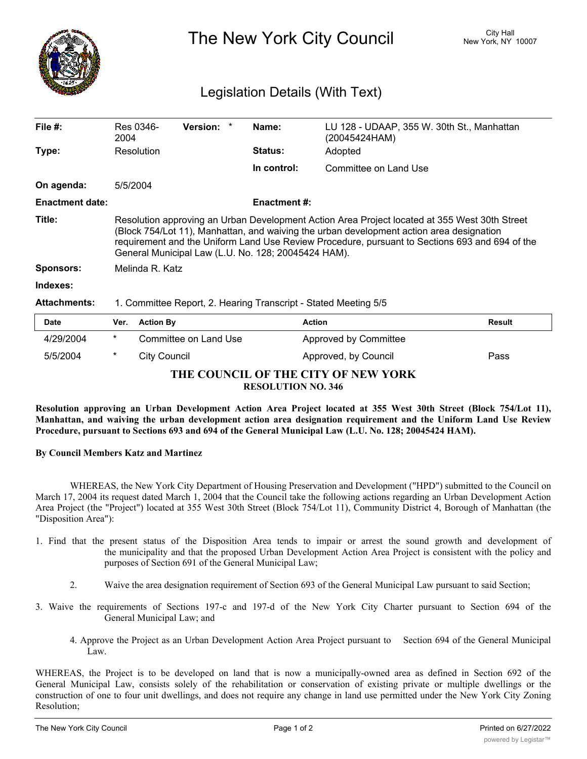

The New York City Council New York, NY 10007

## Legislation Details (With Text)

| File $#$ :             | Res 0346-<br>2004                                                                                                                                                                                                                                                                                                                                  | <b>Version:</b> |  | Name:          | LU 128 - UDAAP, 355 W. 30th St., Manhattan<br>(20045424HAM) |               |  |
|------------------------|----------------------------------------------------------------------------------------------------------------------------------------------------------------------------------------------------------------------------------------------------------------------------------------------------------------------------------------------------|-----------------|--|----------------|-------------------------------------------------------------|---------------|--|
| Type:                  | Resolution                                                                                                                                                                                                                                                                                                                                         |                 |  | <b>Status:</b> | Adopted                                                     |               |  |
|                        |                                                                                                                                                                                                                                                                                                                                                    |                 |  | In control:    | Committee on Land Use                                       |               |  |
| On agenda:             | 5/5/2004                                                                                                                                                                                                                                                                                                                                           |                 |  |                |                                                             |               |  |
| <b>Enactment date:</b> | <b>Enactment #:</b>                                                                                                                                                                                                                                                                                                                                |                 |  |                |                                                             |               |  |
| Title:                 | Resolution approving an Urban Development Action Area Project located at 355 West 30th Street<br>(Block 754/Lot 11), Manhattan, and waiving the urban development action area designation<br>requirement and the Uniform Land Use Review Procedure, pursuant to Sections 693 and 694 of the<br>General Municipal Law (L.U. No. 128; 20045424 HAM). |                 |  |                |                                                             |               |  |
| <b>Sponsors:</b>       | Melinda R. Katz                                                                                                                                                                                                                                                                                                                                    |                 |  |                |                                                             |               |  |
| Indexes:               |                                                                                                                                                                                                                                                                                                                                                    |                 |  |                |                                                             |               |  |
| <b>Attachments:</b>    | 1. Committee Report, 2. Hearing Transcript - Stated Meeting 5/5                                                                                                                                                                                                                                                                                    |                 |  |                |                                                             |               |  |
| Date                   | <b>Action By</b><br>Ver.                                                                                                                                                                                                                                                                                                                           |                 |  | <b>Action</b>  |                                                             | <b>Result</b> |  |
|                        |                                                                                                                                                                                                                                                                                                                                                    |                 |  |                |                                                             |               |  |

| <b>Date</b>                                                      |        | Ver. Action By        | <b>Action</b>         | <b>Result</b> |  |  |  |  |  |
|------------------------------------------------------------------|--------|-----------------------|-----------------------|---------------|--|--|--|--|--|
| 4/29/2004                                                        | $\ast$ | Committee on Land Use | Approved by Committee |               |  |  |  |  |  |
| 5/5/2004                                                         | *      | City Council          | Approved, by Council  | Pass          |  |  |  |  |  |
| THE COUNCIL OF THE CITY OF NEW YORK<br><b>RESOLUTION NO. 346</b> |        |                       |                       |               |  |  |  |  |  |

Resolution approving an Urban Development Action Area Project located at 355 West 30th Street (Block 754/Lot 11), **Manhattan, and waiving the urban development action area designation requirement and the Uniform Land Use Review Procedure, pursuant to Sections 693 and 694 of the General Municipal Law (L.U. No. 128; 20045424 HAM).**

**By Council Members Katz and Martinez**

WHEREAS, the New York City Department of Housing Preservation and Development ("HPD") submitted to the Council on March 17, 2004 its request dated March 1, 2004 that the Council take the following actions regarding an Urban Development Action Area Project (the "Project") located at 355 West 30th Street (Block 754/Lot 11), Community District 4, Borough of Manhattan (the "Disposition Area"):

- 1. Find that the present status of the Disposition Area tends to impair or arrest the sound growth and development of the municipality and that the proposed Urban Development Action Area Project is consistent with the policy and purposes of Section 691 of the General Municipal Law;
	- 2. Waive the area designation requirement of Section 693 of the General Municipal Law pursuant to said Section;
- 3. Waive the requirements of Sections 197-c and 197-d of the New York City Charter pursuant to Section 694 of the General Municipal Law; and
	- 4. Approve the Project as an Urban Development Action Area Project pursuant to Section 694 of the General Municipal Law.

WHEREAS, the Project is to be developed on land that is now a municipally-owned area as defined in Section 692 of the General Municipal Law, consists solely of the rehabilitation or conservation of existing private or multiple dwellings or the construction of one to four unit dwellings, and does not require any change in land use permitted under the New York City Zoning Resolution;